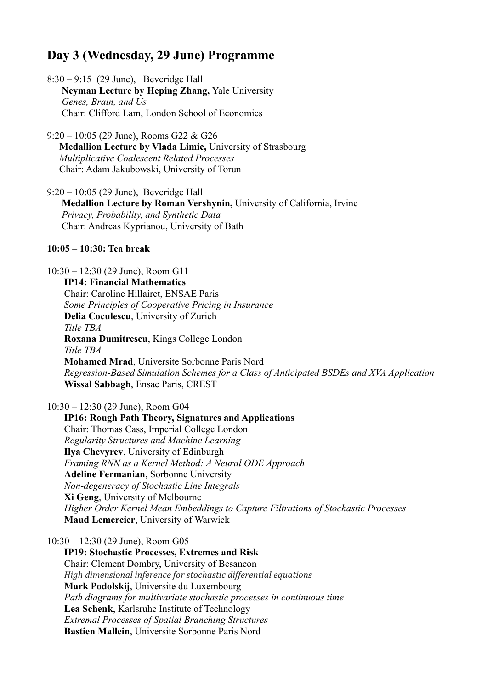# **Day 3 (Wednesday, 29 June) Programme**

8:30 – 9:15 (29 June), Beveridge Hall **Neyman Lecture by Heping Zhang,** Yale University  *Genes, Brain, and Us* Chair: Clifford Lam, London School of Economics

9:20 – 10:05 (29 June), Rooms G22 & G26 **Medallion Lecture by Vlada Limic,** University of Strasbourg  *Multiplicative Coalescent Related Processes* Chair: Adam Jakubowski, University of Torun

9:20 – 10:05 (29 June), Beveridge Hall **Medallion Lecture by Roman Vershynin,** University of California, Irvine *Privacy, Probability, and Synthetic Data* Chair: Andreas Kyprianou, University of Bath

#### **10:05 – 10:30: Tea break**

#### 10:30 – 12:30 (29 June), Room G11

 **IP14: Financial Mathematics** Chair: Caroline Hillairet, ENSAE Paris  *Some Principles of Cooperative Pricing in Insurance* **Delia Coculescu**, University of Zurich *Title TBA* **Roxana Dumitrescu**, Kings College London *Title TBA* **Mohamed Mrad**, Universite Sorbonne Paris Nord  *Regression-Based Simulation Schemes for a Class of Anticipated BSDEs and XVA Application* **Wissal Sabbagh**, Ensae Paris, CREST

10:30 – 12:30 (29 June), Room G04

 **IP16: Rough Path Theory, Signatures and Applications** Chair: Thomas Cass, Imperial College London  *Regularity Structures and Machine Learning* **Ilya Chevyrev**, University of Edinburgh  *Framing RNN as a Kernel Method: A Neural ODE Approach* **Adeline Fermanian**, Sorbonne University *Non-degeneracy of Stochastic Line Integrals* **Xi Geng**, University of Melbourne  *Higher Order Kernel Mean Embeddings to Capture Filtrations of Stochastic Processes* **Maud Lemercier**, University of Warwick

10:30 – 12:30 (29 June), Room G05

 **IP19: Stochastic Processes, Extremes and Risk** Chair: Clement Dombry, University of Besancon *High dimensional inference for stochastic differential equations*  **Mark Podolskij**, Universite du Luxembourg *Path diagrams for multivariate stochastic processes in continuous time* **Lea Schenk**, Karlsruhe Institute of Technology  *Extremal Processes of Spatial Branching Structures* **Bastien Mallein**, Universite Sorbonne Paris Nord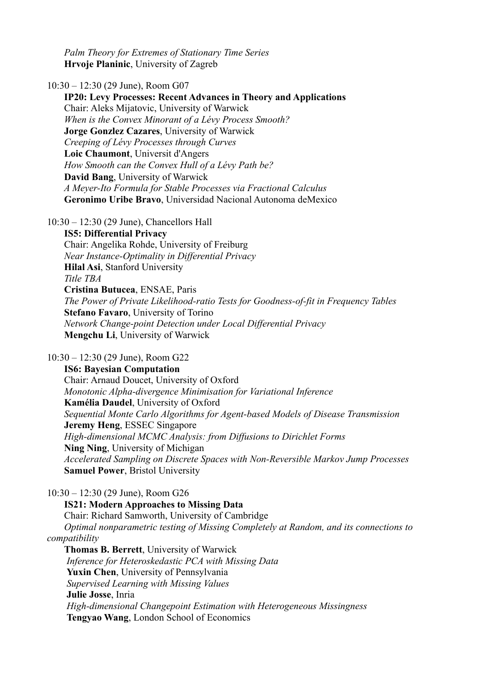*Palm Theory for Extremes of Stationary Time Series* **Hrvoje Planinic**, University of Zagreb

10:30 – 12:30 (29 June), Room G07

 **IP20: Levy Processes: Recent Advances in Theory and Applications** Chair: Aleks Mijatovic, University of Warwick  *When is the Convex Minorant of a Lévy Process Smooth?* **Jorge Gonzlez Cazares**, University of Warwick  *Creeping of Lévy Processes through Curves* **Loic Chaumont**, Universit d'Angers *How Smooth can the Convex Hull of a Lévy Path be?* **David Bang**, University of Warwick  *A Meyer-Ito Formula for Stable Processes via Fractional Calculus* **Geronimo Uribe Bravo**, Universidad Nacional Autonoma deMexico

10:30 – 12:30 (29 June), Chancellors Hall

 **IS5: Differential Privacy** Chair: Angelika Rohde, University of Freiburg  *Near Instance-Optimality in Differential Privacy* **Hilal Asi**, Stanford University *Title TBA* **Cristina Butucea**, ENSAE, Paris  *The Power of Private Likelihood-ratio Tests for Goodness-of-fit in Frequency Tables* **Stefano Favaro**, University of Torino  *Network Change-point Detection under Local Differential Privacy* **Mengchu Li**, University of Warwick

10:30 – 12:30 (29 June), Room G22

 **IS6: Bayesian Computation** Chair: Arnaud Doucet, University of Oxford  *Monotonic Alpha-divergence Minimisation for Variational Inference* **Kamélia Daudel**, University of Oxford  *Sequential Monte Carlo Algorithms for Agent-based Models of Disease Transmission* **Jeremy Heng**, ESSEC Singapore  *High-dimensional MCMC Analysis: from Diffusions to Dirichlet Forms* **Ning Ning**, University of Michigan *Accelerated Sampling on Discrete Spaces with Non-Reversible Markov Jump Processes* **Samuel Power**, Bristol University

10:30 – 12:30 (29 June), Room G26

 **IS21: Modern Approaches to Missing Data** Chair: Richard Samworth, University of Cambridge  *Optimal nonparametric testing of Missing Completely at Random, and its connections to compatibility* **Thomas B. Berrett**, University of Warwick  *Inference for Heteroskedastic PCA with Missing Data* **Yuxin Chen**, University of Pennsylvania  *Supervised Learning with Missing Values*

**Julie Josse**, Inria

 *High-dimensional Changepoint Estimation with Heterogeneous Missingness* **Tengyao Wang**, London School of Economics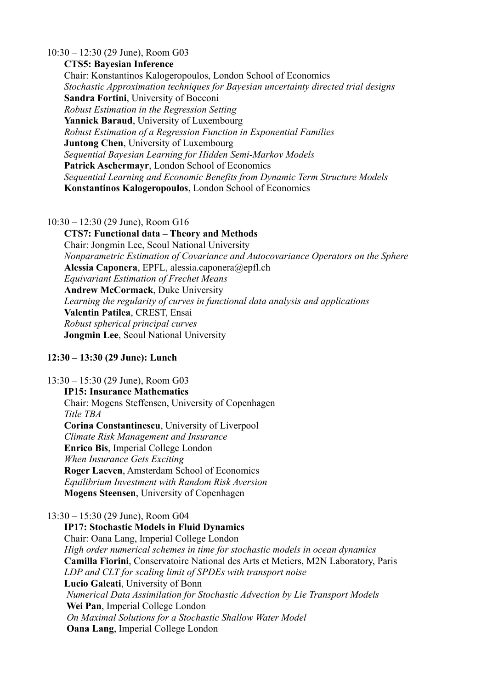#### 10:30 – 12:30 (29 June), Room G03

## **CTS5: Bayesian Inference**

Chair: Konstantinos Kalogeropoulos, London School of Economics *Stochastic Approximation techniques for Bayesian uncertainty directed trial designs* **Sandra Fortini**, University of Bocconi *Robust Estimation in the Regression Setting* **Yannick Baraud**, University of Luxembourg *Robust Estimation of a Regression Function in Exponential Families* **Juntong Chen**, University of Luxembourg *Sequential Bayesian Learning for Hidden Semi-Markov Models*  **Patrick Aschermayr**, London School of Economics *Sequential Learning and Economic Benefits from Dynamic Term Structure Models* **Konstantinos Kalogeropoulos**, London School of Economics

## 10:30 – 12:30 (29 June), Room G16

 **CTS7: Functional data – Theory and Methods** Chair: Jongmin Lee, Seoul National University *Nonparametric Estimation of Covariance and Autocovariance Operators on the Sphere* **Alessia Caponera**, EPFL, alessia.caponera@epfl.ch *Equivariant Estimation of Frechet Means*  **Andrew McCormack**, Duke University *Learning the regularity of curves in functional data analysis and applications* **Valentin Patilea**, CREST, Ensai *Robust spherical principal curves* **Jongmin Lee**, Seoul National University

# **12:30 – 13:30 (29 June): Lunch**

# 13:30 – 15:30 (29 June), Room G03

## **IP15: Insurance Mathematics**

 Chair: Mogens Steffensen, University of Copenhagen *Title TBA*

 **Corina Constantinescu**, University of Liverpool *Climate Risk Management and Insurance* **Enrico Bis**, Imperial College London *When Insurance Gets Exciting* **Roger Laeven**, Amsterdam School of Economics *Equilibrium Investment with Random Risk Aversion* **Mogens Steensen**, University of Copenhagen

## 13:30 – 15:30 (29 June), Room G04

 **IP17: Stochastic Models in Fluid Dynamics** Chair: Oana Lang, Imperial College London *High order numerical schemes in time for stochastic models in ocean dynamics* **Camilla Fiorini**, Conservatoire National des Arts et Metiers, M2N Laboratory, Paris  *LDP and CLT for scaling limit of SPDEs with transport noise* **Lucio Galeati**, University of Bonn  *Numerical Data Assimilation for Stochastic Advection by Lie Transport Models*  **Wei Pan**, Imperial College London  *On Maximal Solutions for a Stochastic Shallow Water Model*  **Oana Lang**, Imperial College London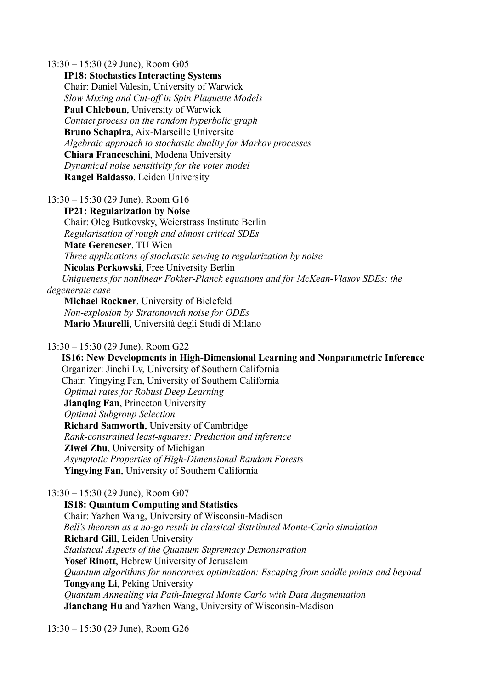13:30 – 15:30 (29 June), Room G05

 **IP18: Stochastics Interacting Systems** Chair: Daniel Valesin, University of Warwick  *Slow Mixing and Cut-off in Spin Plaquette Models* **Paul Chleboun**, University of Warwick *Contact process on the random hyperbolic graph* **Bruno Schapira**, Aix-Marseille Universite *Algebraic approach to stochastic duality for Markov processes* **Chiara Franceschini**, Modena University  *Dynamical noise sensitivity for the voter model* **Rangel Baldasso**, Leiden University

13:30 – 15:30 (29 June), Room G16

 **IP21: Regularization by Noise** Chair: Oleg Butkovsky, Weierstrass Institute Berlin  *Regularisation of rough and almost critical SDEs* **Mate Gerencser**, TU Wien  *Three applications of stochastic sewing to regularization by noise* **Nicolas Perkowski**, Free University Berlin  *Uniqueness for nonlinear Fokker-Planck equations and for McKean-Vlasov SDEs: the degenerate case*

 **Michael Rockner**, University of Bielefeld  *Non-explosion by Stratonovich noise for ODEs* **Mario Maurelli**, Università degli Studi di Milano

## 13:30 – 15:30 (29 June), Room G22

 **IS16: New Developments in High-Dimensional Learning and Nonparametric Inference** Organizer: Jinchi Lv, University of Southern California Chair: Yingying Fan, University of Southern California *Optimal rates for Robust Deep Learning* **Jianqing Fan**, Princeton University  *Optimal Subgroup Selection* **Richard Samworth**, University of Cambridge  *Rank-constrained least-squares: Prediction and inference* **Ziwei Zhu**, University of Michigan  *Asymptotic Properties of High-Dimensional Random Forests* **Yingying Fan**, University of Southern California

## 13:30 – 15:30 (29 June), Room G07

 **IS18: Quantum Computing and Statistics** Chair: Yazhen Wang, University of Wisconsin-Madison *Bell's theorem as a no-go result in classical distributed Monte-Carlo simulation* **Richard Gill**, Leiden University  *Statistical Aspects of the Quantum Supremacy Demonstration* **Yosef Rinott**, Hebrew University of Jerusalem *Quantum algorithms for nonconvex optimization: Escaping from saddle points and beyond* **Tongyang Li**, Peking University *Quantum Annealing via Path-Integral Monte Carlo with Data Augmentation* **Jianchang Hu** and Yazhen Wang, University of Wisconsin-Madison

13:30 – 15:30 (29 June), Room G26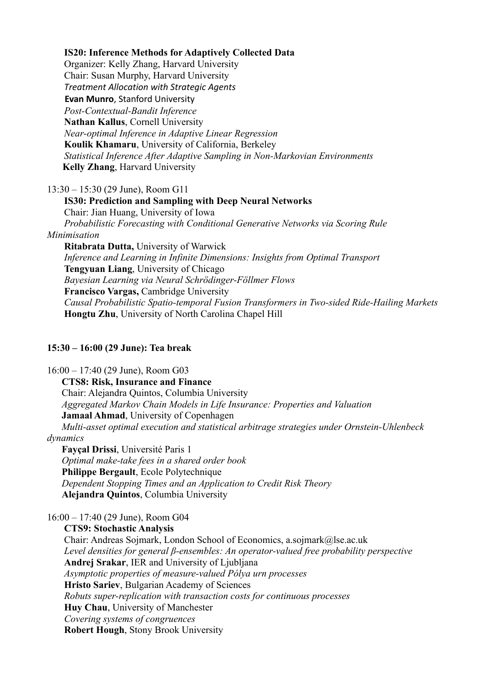#### **IS20: Inference Methods for Adaptively Collected Data**

 Organizer: Kelly Zhang, Harvard University Chair: Susan Murphy, Harvard University *Treatment Allocation with Strategic Agents* **Evan Munro**, Stanford University  *Post-Contextual-Bandit Inference* **Nathan Kallus**, Cornell University  *Near-optimal Inference in Adaptive Linear Regression* **Koulik Khamaru**, University of California, Berkeley  *Statistical Inference After Adaptive Sampling in Non-Markovian Environments* **Kelly Zhang**, Harvard University

## 13:30 – 15:30 (29 June), Room G11

 **IS30: Prediction and Sampling with Deep Neural Networks** Chair: Jian Huang, University of Iowa  *Probabilistic Forecasting with Conditional Generative Networks via Scoring Rule Minimisation* **Ritabrata Dutta,** University of Warwick  *Inference and Learning in Infinite Dimensions: Insights from Optimal Transport* **Tengyuan Liang**, University of Chicago  *Bayesian Learning via Neural Schrödinger-Föllmer Flows* **Francisco Vargas,** Cambridge University  *Causal Probabilistic Spatio-temporal Fusion Transformers in Two-sided Ride-Hailing Markets* **Hongtu Zhu**, University of North Carolina Chapel Hill

#### **15:30 – 16:00 (29 June): Tea break**

16:00 – 17:40 (29 June), Room G03 **CTS8: Risk, Insurance and Finance** Chair: Alejandra Quintos, Columbia University *Aggregated Markov Chain Models in Life Insurance: Properties and Valuation* **Jamaal Ahmad**, University of Copenhagen *Multi-asset optimal execution and statistical arbitrage strategies under Ornstein-Uhlenbeck dynamics*  **Fayçal Drissi**, Université Paris 1 *Optimal make-take fees in a shared order book*

 **Philippe Bergault**, Ecole Polytechnique *Dependent Stopping Times and an Application to Credit Risk Theory* **Alejandra Quintos**, Columbia University

16:00 – 17:40 (29 June), Room G04

 **CTS9: Stochastic Analysis** Chair: Andreas Sojmark, London School of Economics, a.sojmark@lse.ac.uk *Level densities for general β-ensembles: An operator-valued free probability perspective* **Andrej Srakar**, IER and University of Ljubljana *Asymptotic properties of measure-valued Pólya urn processes* **Hristo Sariev**, Bulgarian Academy of Sciences *Robuts super-replication with transaction costs for continuous processes* **Huy Chau**, University of Manchester *Covering systems of congruences* **Robert Hough**, Stony Brook University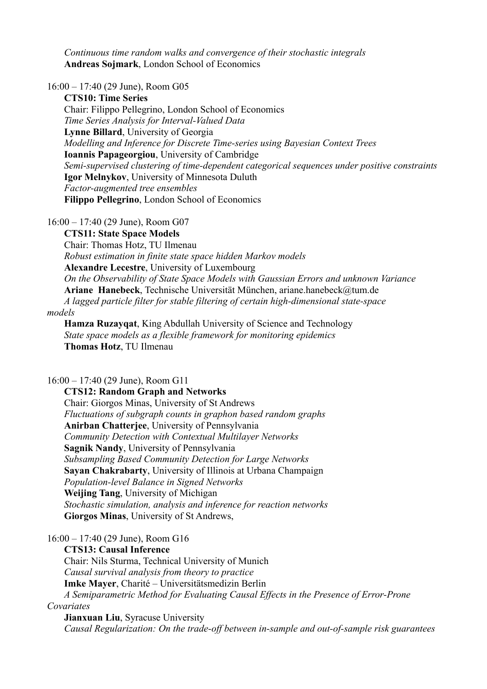*Continuous time random walks and convergence of their stochastic integrals*  **Andreas Sojmark**, London School of Economics

16:00 – 17:40 (29 June), Room G05

 **CTS10: Time Series** Chair: Filippo Pellegrino, London School of Economics *Time Series Analysis for Interval-Valued Data* **Lynne Billard**, University of Georgia *Modelling and Inference for Discrete Time-series using Bayesian Context Trees* **Ioannis Papageorgiou**, University of Cambridge *Semi-supervised clustering of time-dependent categorical sequences under positive constraints* **Igor Melnykov**, University of Minnesota Duluth *Factor-augmented tree ensembles* **Filippo Pellegrino**, London School of Economics

16:00 – 17:40 (29 June), Room G07

 **CTS11: State Space Models** Chair: Thomas Hotz, TU Ilmenau *Robust estimation in finite state space hidden Markov models*  **Alexandre Lecestre**, University of Luxembourg *On the Observability of State Space Models with Gaussian Errors and unknown Variance* **Ariane Hanebeck**, Technische Universität München, ariane.hanebeck@tum.de *A lagged particle filter for stable filtering of certain high-dimensional state-space*

*models*

 **Hamza Ruzayqat**, King Abdullah University of Science and Technology *State space models as a flexible framework for monitoring epidemics*  **Thomas Hotz**, TU Ilmenau

16:00 – 17:40 (29 June), Room G11

 **CTS12: Random Graph and Networks** Chair: Giorgos Minas, University of St Andrews *Fluctuations of subgraph counts in graphon based random graphs* **Anirban Chatterjee**, University of Pennsylvania  *Community Detection with Contextual Multilayer Networks* **Sagnik Nandy**, University of Pennsylvania *Subsampling Based Community Detection for Large Networks* **Sayan Chakrabarty**, University of Illinois at Urbana Champaign *Population-level Balance in Signed Networks* **Weijing Tang**, University of Michigan *Stochastic simulation, analysis and inference for reaction networks* **Giorgos Minas**, University of St Andrews,

16:00 – 17:40 (29 June), Room G16

**CTS13: Causal Inference**

Chair: Nils Sturma, Technical University of Munich *Causal survival analysis from theory to practice* **Imke Mayer**, Charité – Universitätsmedizin Berlin *A Semiparametric Method for Evaluating Causal Effects in the Presence of Error-Prone Covariates* **Jianxuan Liu**, Syracuse University

*Causal Regularization: On the trade-off between in-sample and out-of-sample risk guarantees*